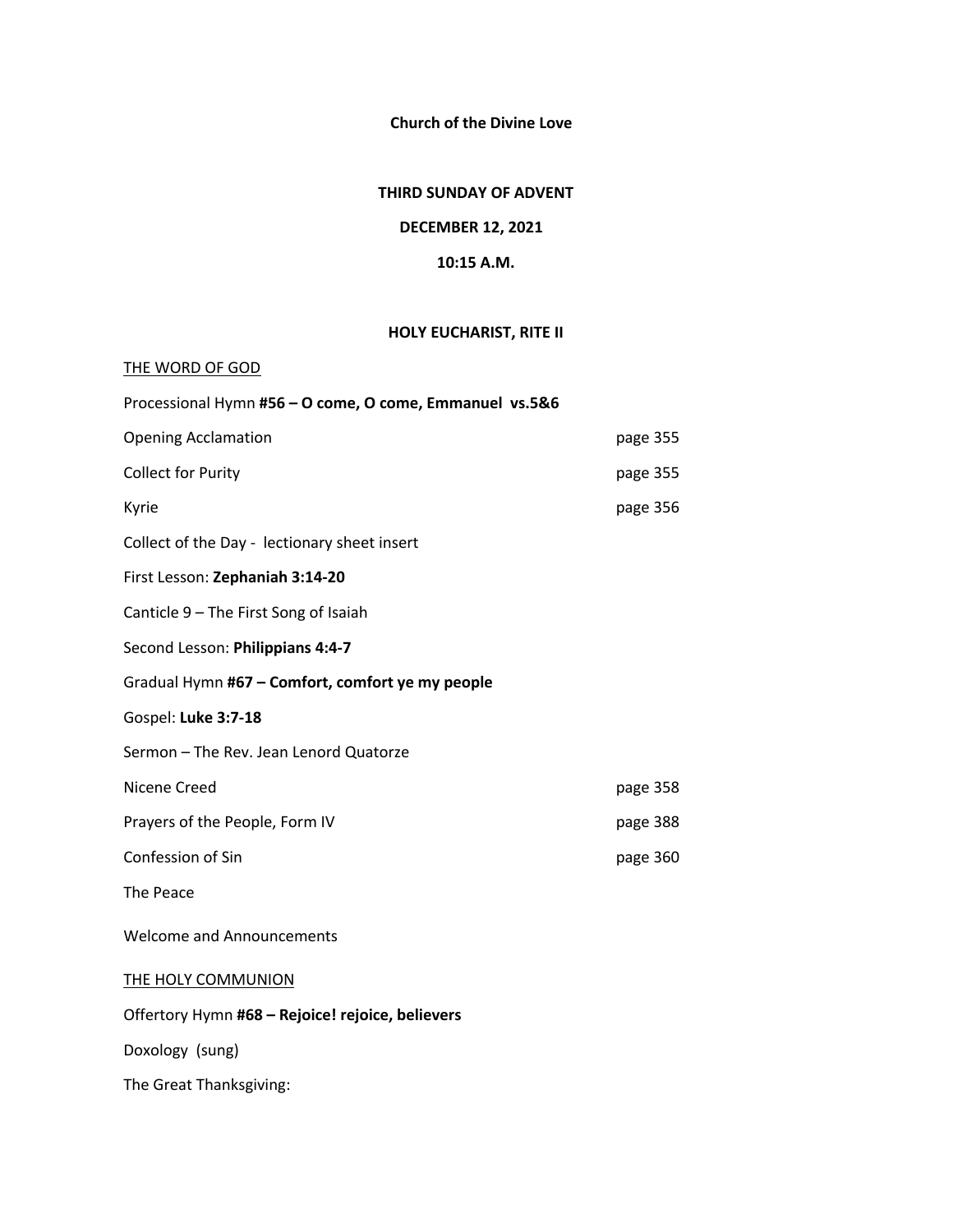**Church of the Divine Love**

## **THIRD SUNDAY OF ADVENT**

# **DECEMBER 12, 2021**

#### **10:15 A.M.**

## **HOLY EUCHARIST, RITE II**

| THE WORD OF GOD                                         |          |
|---------------------------------------------------------|----------|
| Processional Hymn #56 - O come, O come, Emmanuel vs.5&6 |          |
| <b>Opening Acclamation</b>                              | page 355 |
| <b>Collect for Purity</b>                               | page 355 |
| Kyrie                                                   | page 356 |
| Collect of the Day - lectionary sheet insert            |          |
| First Lesson: Zephaniah 3:14-20                         |          |
| Canticle 9 - The First Song of Isaiah                   |          |
| Second Lesson: Philippians 4:4-7                        |          |
| Gradual Hymn #67 - Comfort, comfort ye my people        |          |
| Gospel: Luke 3:7-18                                     |          |
| Sermon - The Rev. Jean Lenord Quatorze                  |          |
| Nicene Creed                                            | page 358 |
| Prayers of the People, Form IV                          | page 388 |
| Confession of Sin                                       | page 360 |
| The Peace                                               |          |
| <b>Welcome and Announcements</b>                        |          |
| <b>THE HOLY COMMUNION</b>                               |          |
| Offertory Hymn #68 - Rejoice! rejoice, believers        |          |
| Doxology (sung)                                         |          |
| The Great Thanksgiving:                                 |          |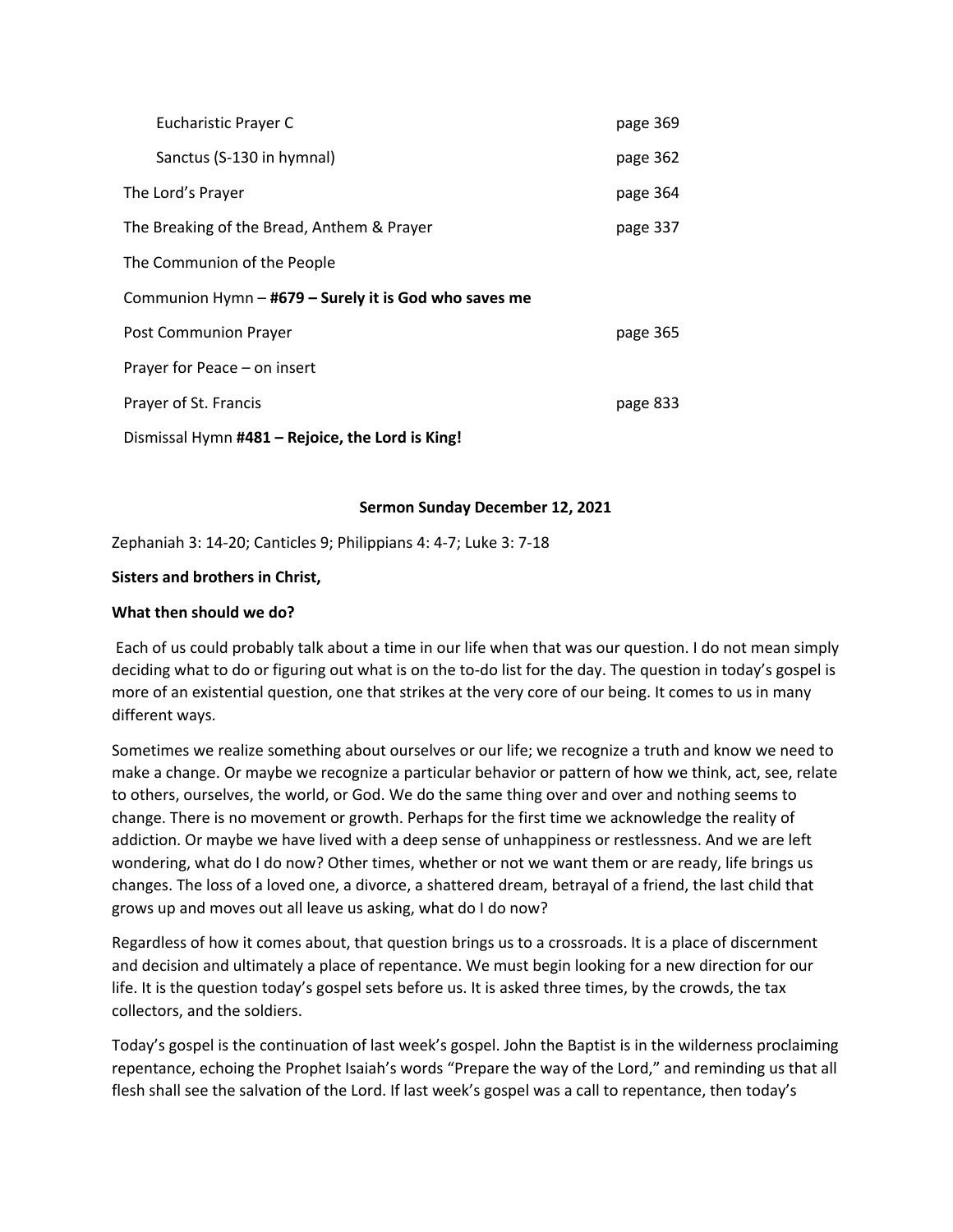| Eucharistic Prayer C                                  | page 369 |  |  |  |  |
|-------------------------------------------------------|----------|--|--|--|--|
| Sanctus (S-130 in hymnal)                             | page 362 |  |  |  |  |
| The Lord's Prayer                                     | page 364 |  |  |  |  |
| The Breaking of the Bread, Anthem & Prayer            | page 337 |  |  |  |  |
| The Communion of the People                           |          |  |  |  |  |
| Communion Hymn - #679 - Surely it is God who saves me |          |  |  |  |  |
| Post Communion Prayer                                 | page 365 |  |  |  |  |
| Prayer for Peace - on insert                          |          |  |  |  |  |
| Prayer of St. Francis                                 | page 833 |  |  |  |  |
| Dismissal Hymn #481 - Rejoice, the Lord is King!      |          |  |  |  |  |

#### **Sermon Sunday December 12, 2021**

Zephaniah 3: 14-20; Canticles 9; Philippians 4: 4-7; Luke 3: 7-18

### **Sisters and brothers in Christ,**

#### **What then should we do?**

Each of us could probably talk about a time in our life when that was our question. I do not mean simply deciding what to do or figuring out what is on the to-do list for the day. The question in today's gospel is more of an existential question, one that strikes at the very core of our being. It comes to us in many different ways.

Sometimes we realize something about ourselves or our life; we recognize a truth and know we need to make a change. Or maybe we recognize a particular behavior or pattern of how we think, act, see, relate to others, ourselves, the world, or God. We do the same thing over and over and nothing seems to change. There is no movement or growth. Perhaps for the first time we acknowledge the reality of addiction. Or maybe we have lived with a deep sense of unhappiness or restlessness. And we are left wondering, what do I do now? Other times, whether or not we want them or are ready, life brings us changes. The loss of a loved one, a divorce, a shattered dream, betrayal of a friend, the last child that grows up and moves out all leave us asking, what do I do now?

Regardless of how it comes about, that question brings us to a crossroads. It is a place of discernment and decision and ultimately a place of repentance. We must begin looking for a new direction for our life. It is the question today's gospel sets before us. It is asked three times, by the crowds, the tax collectors, and the soldiers.

Today's gospel is the continuation of last week's gospel. John the Baptist is in the wilderness proclaiming repentance, echoing the Prophet Isaiah's words "Prepare the way of the Lord," and reminding us that all flesh shall see the salvation of the Lord. If last week's gospel was a call to repentance, then today's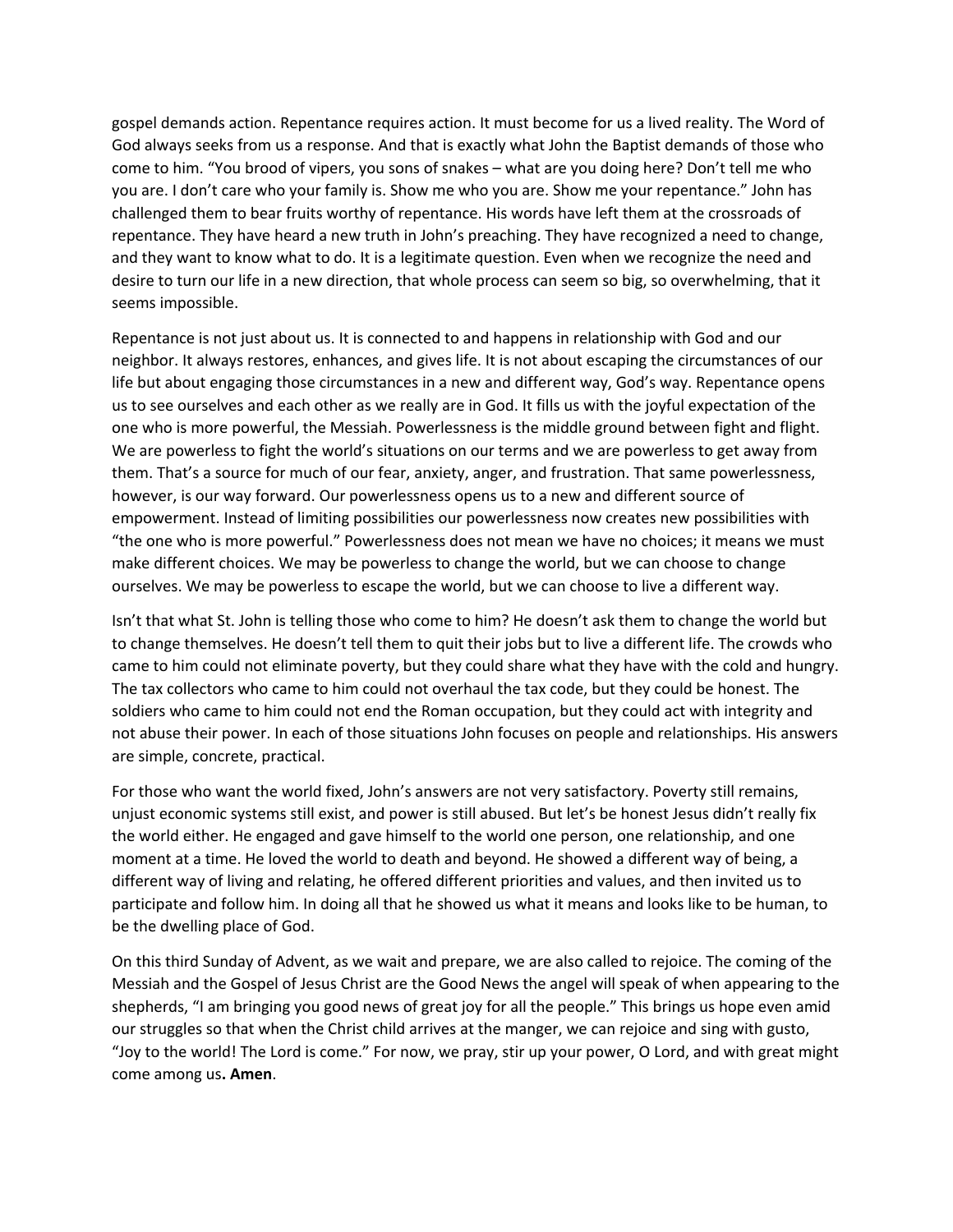gospel demands action. Repentance requires action. It must become for us a lived reality. The Word of God always seeks from us a response. And that is exactly what John the Baptist demands of those who come to him. "You brood of vipers, you sons of snakes – what are you doing here? Don't tell me who you are. I don't care who your family is. Show me who you are. Show me your repentance." John has challenged them to bear fruits worthy of repentance. His words have left them at the crossroads of repentance. They have heard a new truth in John's preaching. They have recognized a need to change, and they want to know what to do. It is a legitimate question. Even when we recognize the need and desire to turn our life in a new direction, that whole process can seem so big, so overwhelming, that it seems impossible.

Repentance is not just about us. It is connected to and happens in relationship with God and our neighbor. It always restores, enhances, and gives life. It is not about escaping the circumstances of our life but about engaging those circumstances in a new and different way, God's way. Repentance opens us to see ourselves and each other as we really are in God. It fills us with the joyful expectation of the one who is more powerful, the Messiah. Powerlessness is the middle ground between fight and flight. We are powerless to fight the world's situations on our terms and we are powerless to get away from them. That's a source for much of our fear, anxiety, anger, and frustration. That same powerlessness, however, is our way forward. Our powerlessness opens us to a new and different source of empowerment. Instead of limiting possibilities our powerlessness now creates new possibilities with "the one who is more powerful." Powerlessness does not mean we have no choices; it means we must make different choices. We may be powerless to change the world, but we can choose to change ourselves. We may be powerless to escape the world, but we can choose to live a different way.

Isn't that what St. John is telling those who come to him? He doesn't ask them to change the world but to change themselves. He doesn't tell them to quit their jobs but to live a different life. The crowds who came to him could not eliminate poverty, but they could share what they have with the cold and hungry. The tax collectors who came to him could not overhaul the tax code, but they could be honest. The soldiers who came to him could not end the Roman occupation, but they could act with integrity and not abuse their power. In each of those situations John focuses on people and relationships. His answers are simple, concrete, practical.

For those who want the world fixed, John's answers are not very satisfactory. Poverty still remains, unjust economic systems still exist, and power is still abused. But let's be honest Jesus didn't really fix the world either. He engaged and gave himself to the world one person, one relationship, and one moment at a time. He loved the world to death and beyond. He showed a different way of being, a different way of living and relating, he offered different priorities and values, and then invited us to participate and follow him. In doing all that he showed us what it means and looks like to be human, to be the dwelling place of God.

On this third Sunday of Advent, as we wait and prepare, we are also called to rejoice. The coming of the Messiah and the Gospel of Jesus Christ are the Good News the angel will speak of when appearing to the shepherds, "I am bringing you good news of great joy for all the people." This brings us hope even amid our struggles so that when the Christ child arrives at the manger, we can rejoice and sing with gusto, "Joy to the world! The Lord is come." For now, we pray, stir up your power, O Lord, and with great might come among us**. Amen**.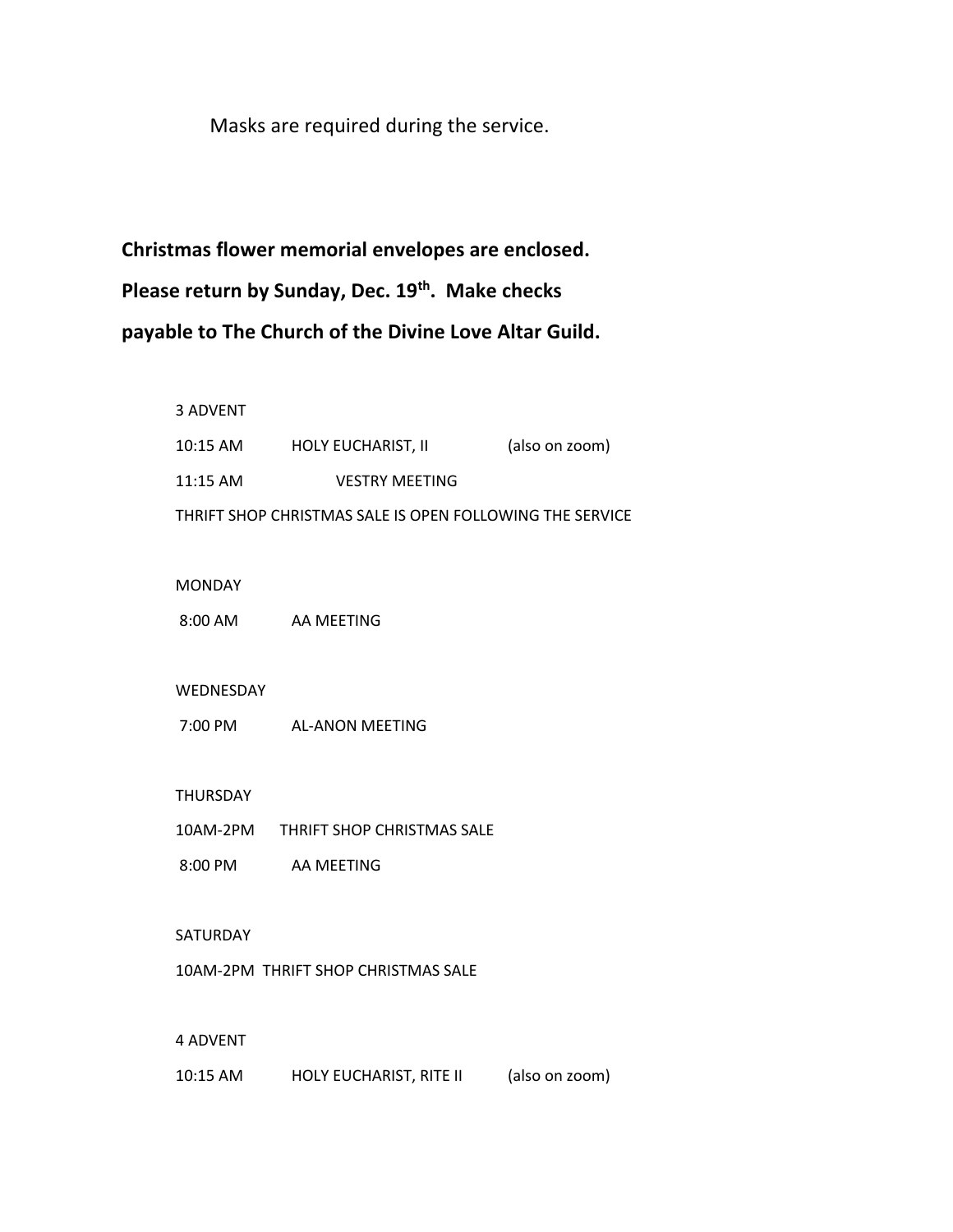Masks are required during the service.

 **Christmas flower memorial envelopes are enclosed.** Please return by Sunday, Dec. 19<sup>th</sup>. Make checks  **payable to The Church of the Divine Love Altar Guild.**

> 3 ADVENT 10:15 AM HOLY EUCHARIST, II (also on zoom) 11:15 AM VESTRY MEETING THRIFT SHOP CHRISTMAS SALE IS OPEN FOLLOWING THE SERVICE MONDAY 8:00 AM AA MEETING WEDNESDAY 7:00 PM AL-ANON MEETING THURSDAY 10AM-2PM THRIFT SHOP CHRISTMAS SALE 8:00 PM AA MEETING SATURDAY 10AM-2PM THRIFT SHOP CHRISTMAS SALE 4 ADVENT

10:15 AM HOLY EUCHARIST, RITE II (also on zoom)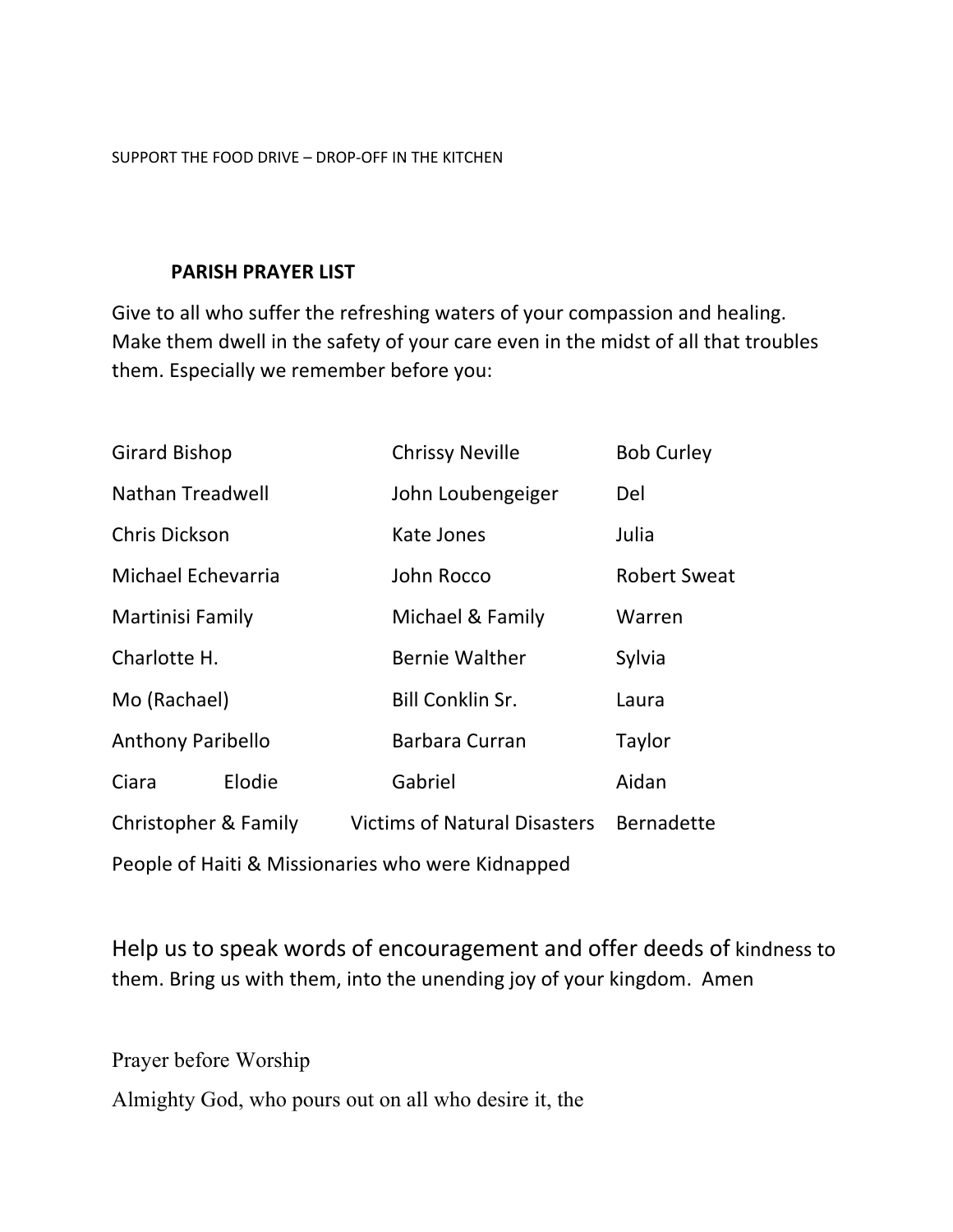SUPPORT THE FOOD DRIVE – DROP-OFF IN THE KITCHEN

# **PARISH PRAYER LIST**

Give to all who suffer the refreshing waters of your compassion and healing. Make them dwell in the safety of your care even in the midst of all that troubles them. Especially we remember before you:

| <b>Girard Bishop</b>                              |        |                                         | <b>Chrissy Neville</b> | <b>Bob Curley</b> |  |
|---------------------------------------------------|--------|-----------------------------------------|------------------------|-------------------|--|
| Nathan Treadwell                                  |        |                                         | John Loubengeiger      | Del               |  |
| <b>Chris Dickson</b>                              |        | Kate Jones                              | Julia                  |                   |  |
| Michael Echevarria                                |        | John Rocco                              | <b>Robert Sweat</b>    |                   |  |
| Martinisi Family                                  |        |                                         | Michael & Family       | Warren            |  |
| Charlotte H.                                      |        |                                         | <b>Bernie Walther</b>  | Sylvia            |  |
| Mo (Rachael)                                      |        | <b>Bill Conklin Sr.</b>                 | Laura                  |                   |  |
| <b>Anthony Paribello</b>                          |        |                                         | Barbara Curran         | Taylor            |  |
| Ciara                                             | Elodie |                                         | Gabriel                | Aidan             |  |
| Christopher & Family                              |        | Victims of Natural Disasters Bernadette |                        |                   |  |
| People of Haiti & Missionaries who were Kidnapped |        |                                         |                        |                   |  |

Help us to speak words of encouragement and offer deeds of kindness to them. Bring us with them, into the unending joy of your kingdom. Amen

Prayer before Worship

Almighty God, who pours out on all who desire it, the